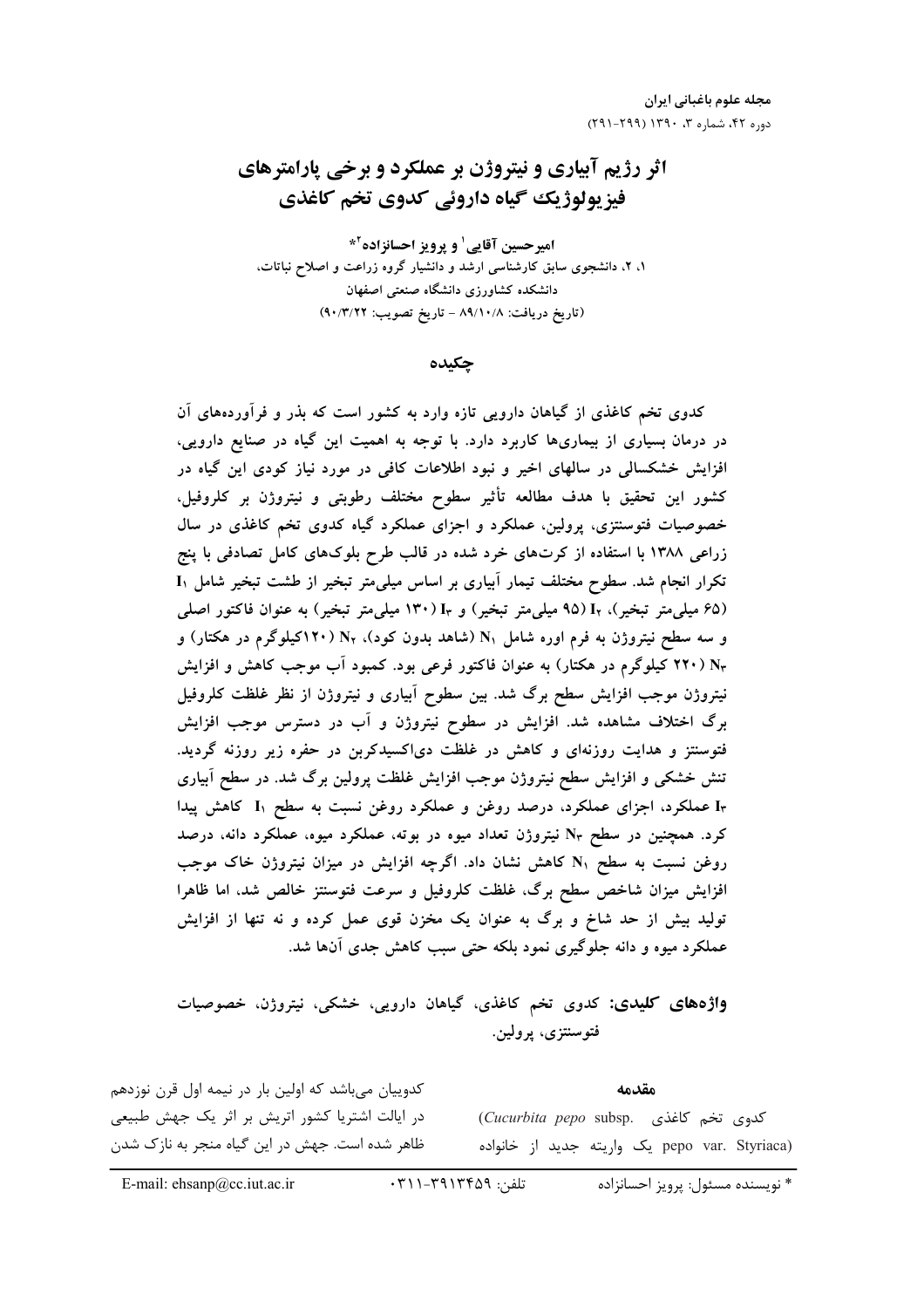# اثر رژیم آبیاری و نیتروژن بر عملکرد و برخی پارامترهای فیزیولوژیک گیاه داروئی کدوی تخم کاغذی

امیرحسین آقایی<sup>۱</sup> و پرویز احسانزاده<sup>۲</sup>\* ۱، ۲، دانشجوی سابق کارشناسی ارشد و دانشیار گروه زراعت و اصلاح نباتات، دانشکده کشاورزی دانشگاه صنعتی اصفهان (تاريخ دريافت: ٨٩/١٠/٨ - تاريخ تصويب: ٩٠/٣/٢٢)

چکیده

کدوی تخم کاغذی از گیاهان دارویی تازه وارد به کشور است که بذر و فرآوردههای آن در درمان بسیاری از بیماریها کاربرد دارد. با توجه به اهمیت این گیاه در صنایع دارویی، افزایش خشکسالی در سالهای اخیر و نبود اطلاعات کافی در مورد نیاز کودی این گیاه در کشور این تحقیق با هدف مطالعه تأثیر سطوح مختلف رطوبتی و نیتروژن بر کلروفیل، خصوصیات فتوسنتزی، پرولین، عملکرد و اجزای عملکرد گیاه کدوی تخم کاغذی در سال زراعی ۱۳۸۸ با استفاده از کرتهای خرد شده در قالب طرح بلوکهای کامل تصادفی با پنج تکرار انجام شد. سطوح مختلف تیمار آبیاری بر اساس میلی متر تبخیر از طشت تبخیر شامل I<sub>۱</sub> (۶۵ میلی متر تبخیر)، Ir (۹۵ میلی متر تبخیر) و I۳۰ (۱۳۰ میلی متر تبخیر) به عنوان فاکتور اصلی و سه سطح نیتروژن به فرم اوره شامل Ni (شاهد بدون کود)، Nr (۱۲۰کیلوگرم در هکتار) و N۳ (۲۲۰ کیلوگرم در هکتار) به عنوان فاکتور فرعی بود. کمبود اَب موجب کاهش و افزایش نیتروژن موجب افزایش سطح برگ شد. بین سطوح آبیاری و نیتروژن از نظر غلظت کلروفیل برگ اختلاف مشاهده شد. افزایش در سطوح نیتروژن و آب در دسترس موجب افزایش فتوسنتز و هدایت روزنهای و کاهش در غلظت دیاکسیدکربن در حفره زیر روزنه گردید. تنش خشکی و افزایش سطح نیتروژن موجب افزایش غلظت پرولین برگ شد. در سطح آبیاری I<sub>۳</sub> عملکرد، اجزای عملکرد، درصد روغن و عملکرد روغن نسبت به سطح I۱ کاهش پیدا کرد. همچنین در سطح N۳ نیتروژن تعداد میوه در بوته، عملکرد میوه، عملکرد دانه، درصد روغن نسبت به سطح N کاهش نشان داد. اگرچه افزایش در میزان نیتروژن خاک موجب افزایش میزان شاخص سطح برگ، غلظت کلروفیل و سرعت فتوسنتز خالص شد، اما ظاهرا تولید بیش از حد شاخ و برگ به عنوان یک مخزن قوی عمل کرده و نه تنها از افزایش عملکرد میوه و دانه جلوگیری نمود بلکه حتی سبب کاهش جدی آنها شد.

**واژههای کلیدی:** کدوی تخم کاغذی، گیاهان دارویی، خشکی، نیتروژن، خصوصیات فتوسنتزى، پرولين.

کدوییان میباشد که اولین بار در نیمه اول قرن نوزدهم در ایالت اشتریا کشور اتریش بر اثر یک جهش طبیعی ظاهر شده است. جهش در این گیاه منجر به نازک شدن

مقدمه Cucurbita pepo subsp. (Cucurbita pepo subsp. pepo var. Styriaca) یک واریته جدید از خانواده

E-mail: ehsanp@cc.iut.ac.ir

\* نويسنده مسئول: پرويز احسانزاده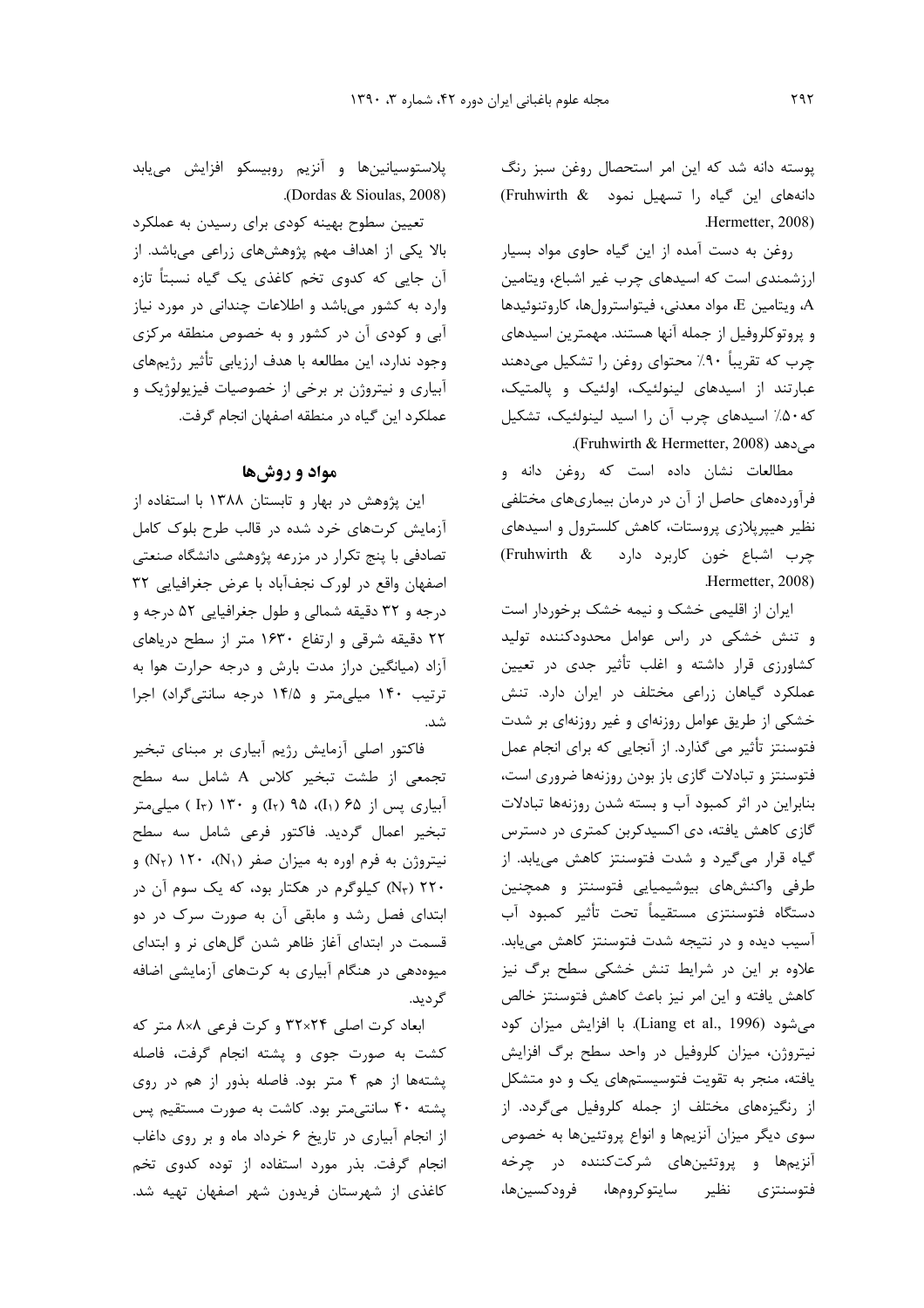یوسته دانه شد که این امر استحصال روغن سبز رنگ دانههای این گیاه را تسهیل نمود Fruhwirth & Hermetter, 2008)

روغن به دست آمده از این گیاه حاوی مواد بسیار ارزشمندی است که اسیدهای چرب غیر اشباع، ویتامین A، ويتامين E، مواد معدني، فيتواسترولها، كاروتنوئيدها و پروتوکلروفیل از جمله آنها هستند. مهمترین اسیدهای چرب که تقریباً ۹۰٪ محتوای روغن را تشکیل میدهند عبارتند از اسیدهای لینولئیک، اولئیک و پالمتیک، که ۵۰٪ اسیدهای چرب آن را اسید لینولئیک، تشکیل می دهد (Fruhwirth & Hermetter, 2008).

مطالعات نشان داده است که روغن دانه و فرآوردههای حاصل از آن در درمان بیماریهای مختلفی نظیر هیپرپلازی پروستات، کاهش کلسترول و اسیدهای چرب اشباع خون کاربرد دارد Fruhwirth & Hermetter, 2008)

ایران از اقلیمی خشک و نیمه خشک برخوردار است و تنش خشکی در راس عوامل محدودکننده تولید کشاورزی قرار داشته و اغلب تأثیر جدی در تعیین عملکرد گیاهان زراعی مختلف در ایران دارد. تنش خشکی از طریق عوامل روزنهای و غیر روزنهای بر شدت فتوسنتز تأثیر می گذارد. از آنجایی که برای انجام عمل فتوسنتز و تبادلات گازی باز بودن روزنهها ضروری است، بنابراین در اثر کمبود آب و بسته شدن روزنهها تبادلات گازی کاهش یافته، دی اکسیدکربن کمتری در دسترس گیاه قرار می گیرد و شدت فتوسنتز کاهش می یابد. از طرفی واکنشهای بیوشیمیایی فتوسنتز و همچنین دستگاه فتوسنتزى مستقيماً تحت تأثير كمبود آب آسیب دیده و در نتیجه شدت فتوسنتز کاهش می یابد. علاوه بر این در شرایط تنش خشکی سطح برگ نیز كاهش يافته واين امر نيز باعث كاهش فتوسنتز خالص میشود (Liang et al., 1996). با افزایش میزان کود نیتروژن، میزان کلروفیل در واحد سطح برگ افزایش یافته، منجر به تقویت فتوسیستمهای یک و دو متشکل از رنگیزههای مختلف از جمله کلروفیل میگردد. از سوی دیگر میزان آنزیمها و انواع پروتئینها به خصوص آنزیمها و پروتئینهای شرکتکننده در چرخه فتوسنتزى نظير سايتوكرومها، فرودكسينها،

پلاستوسیانینها و آنزیم روبیسکو افزایش مییابد (Dordas & Sioulas, 2008).

تعیین سطوح بهینه کودی برای رسیدن به عملکرد بالا یکی از اهداف مهم پژوهشهای زراعی میباشد. از آن جایی که کدوی تخم کاغذی یک گیاه نسبتاً تازه وارد به کشور میباشد و اطلاعات چندانی در مورد نیاز آبی و کودی آن در کشور و به خصوص منطقه مرکزی وجود ندارد، این مطالعه با هدف ارزیابی تأثیر رژیمهای آبیاری و نیتروژن بر برخی از خصوصیات فیزیولوژیک و عملکرد این گیاه در منطقه اصفهان انجام گرفت.

## مواد و روشها

این پژوهش در بهار و تابستان ۱۳۸۸ با استفاده از آزمایش کرتهای خرد شده در قالب طرح بلوک کامل تصادفی با پنج تکرار در مزرعه پژوهشی دانشگاه صنعتی اصفهان واقع در لورک نجف آباد با عرض جغرافيايي ٣٢ درجه و ۳۲ دقیقه شمالی و طول جغرافیایی ۵۲ درجه و ۲۲ دقیقه شرقی و ارتفاع ۱۶۳۰ متر از سطح دریاهای آزاد (میانگین دراز مدت بارش و درجه حرارت هوا به ترتیب ۱۴۰ میلی متر و ۱۴/۵ درجه سانتی گراد) اجرا شد.

فاکتور اصلی آزمایش رژیم آبیاری بر مبنای تبخیر تجمعی از طشت تبخیر کلاس A شامل سه سطح آبیاری پس از ۶۵ (I<sub>۲</sub>)، ۹۵ (I<sub>۲</sub>) و ۱۳۰ (I<sub>۳</sub>) میل<sub>ی</sub>متر تبخير اعمال گرديد. فاكتور فرعي شامل سه سطح  $(N_7)$  نیتروژن به فرم اوره به میزان صفر (N<sub>۱</sub>)، ۱۲۰ (N<sub>۲</sub>) و ۲۲۰ (Nr) کیلوگرم در هکتار بود، که یک سوم آن در ابتدای فصل رشد و مابقی آن به صورت سرک در دو قسمت در ابتدای آغاز ظاهر شدن گلهای نر و ابتدای میوهدهی در هنگام آبیاری به کرتهای آزمایشی اضافه گر دید.

ابعاد کرت اصلی ۳۲×۳۲ و کرت فرعی ۸×۸ متر که کشت به صورت جوی و پشته انجام گرفت، فاصله یشتهها از هم ۴ متر بود. فاصله بذور از هم در روی پشته ۴۰ سانتی متر بود. کاشت به صورت مستقیم پس از انجام آبیاری در تاریخ ۶ خرداد ماه و بر روی داغاب انجام گرفت. بذر مورد استفاده از توده کدوی تخم کاغذی از شهرستان فریدون شهر اصفهان تهیه شد.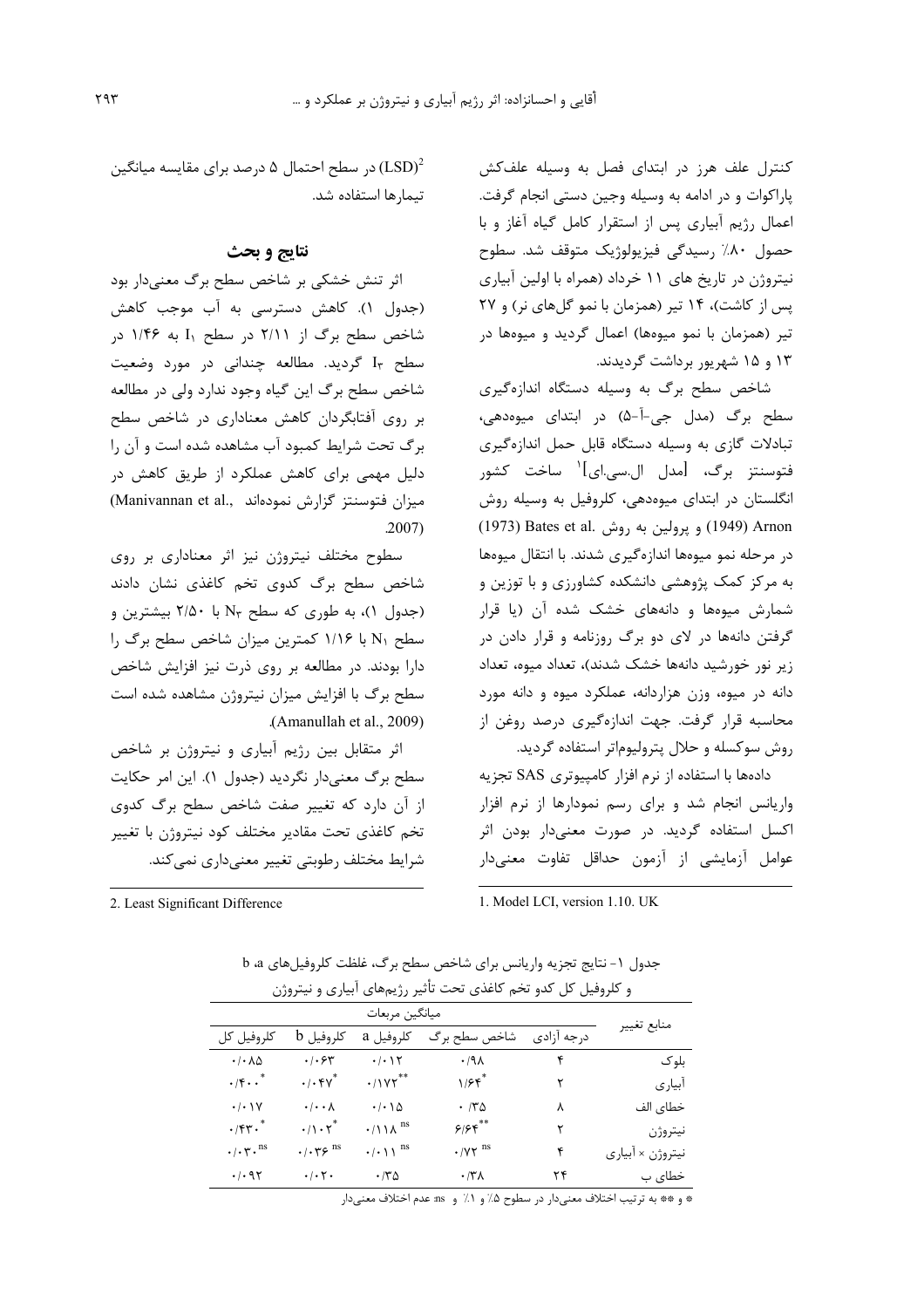کنترل علف هرز در ابتدای فصل به وسیله علفکش پاراکوات و در ادامه به وسیله وجین دستی انجام گرفت. اعمال رژیم آبیاری پس از استقرار کامل گیاه آغاز و با حصول ۸۰٪ رسیدگی فیزیولوژیک متوقف شد. سطوح نیتروژن در تاریخ های ۱۱ خرداد (همراه با اولین آبیاری پس از کاشت)، ۱۴ تیر (همزمان با نمو گلهای نر) و ۲۷ تیر (همزمان با نمو میوهها) اعمال گردید و میوهها در ۱۳ و ۱۵ شهریور برداشت گردیدند.

شاخص سطح برگ به وسیله دستگاه اندازهگیری سطح برگ (مدل جی-آ-۵) در ابتدای میوهدهی، تبادلات گازی به وسیله دستگاه قابل حمل اندازهگیری فتوسنتز برگ، [مدل ال.سی.ای]<sup>۱</sup> ساخت کشور انگلستان در ابتدای میوهدهی، کلروفیل به وسیله روش (1949) Arnon و پرولين به روش Bates et al. (1973) در مرحله نمو میوهها اندازهگیری شدند. با انتقال میوهها به مرکز کمک پژوهشی دانشکده کشاورزی و با توزین و شمارش میومها و دانههای خشک شده آن (یا قرار گرفتن دانهها در لای دو برگ روزنامه و قرار دادن در زیر نور خورشید دانهها خشک شدند)، تعداد میوه، تعداد دانه در میوه، وزن هزاردانه، عملکرد میوه و دانه مورد محاسبه قرار گرفت. جهت اندازهگیری درصد روغن از روش سوكسله وحلال پتروليوماتر استفاده گرديد.

دادهها با استفاده از نرم افزار کامپیوتری SAS تجزیه واریانس انجام شد و برای رسم نمودارها از نرم افزار اکسل استفاده گردید. در صورت معنیدار بودن اثر عوامل آزمایشی از آزمون حداقل تفاوت معنیدار

1. Model LCI, version 1.10. UK

در سطح احتمال ۵ درصد برای مقایسه میانگین (LSD) $^2$ تيمارها استفاده شد.

### نتايج و بحث

اثر تنش خشکی بر شاخص سطح برگ معنیدار بود (جدول ۱). كاهش دسترسى به آب موجب كاهش شاخص سطح برگ از ۲/۱۱ در سطح I<sub>۱</sub> به ۱/۴۶ در سطح Ir گردید. مطالعه چندانی در مورد وضعیت شاخص سطح برگ این گیاه وجود ندارد ولی در مطالعه بر روی آفتابگردان کاهش معناداری در شاخص سطح برگ تحت شرایط کمبود آب مشاهده شده است و آن را دلیل مهمی برای کاهش عملکرد از طریق کاهش در (Manivannan et al., میزان فتوسنتز گزارش نمودهاند)  $.2007)$ 

سطوح مختلف نیتروژن نیز اثر معناداری بر روی شاخص سطح برگ کدوی تخم کاغذی نشان دادند (جدول ۱)، به طوری که سطح N۳ با ۲/۵۰ بیشترین و سطح N۱ با ۱/۱۶ کمترین میزان شاخص سطح برگ را دارا بودند. در مطالعه بر روی ذرت نیز افزایش شاخص سطح برگ با افزایش میزان نیتروژن مشاهده شده است .(Amanullah et al., 2009)

اثر متقابل بین رژیم آبیاری و نیتروژن بر شاخص سطح برگ معنیدار نگردید (جدول ۱). این امر حکایت از آن دارد که تغییر صفت شاخص سطح برگ کدوی تخم كاغذى تحت مقادير مختلف كود نيتروژن با تغيير شرایط مختلف رطوبتی تغییر معنیداری نمی کند.

2. Least Significant Difference

| جدول ١- نتايج تجزيه واريانس براي شاخص سطح برك، غلظت كلروفيل هاي a، b |
|----------------------------------------------------------------------|
| و کلروفیل کل کدو تخم کاغذی تحت تأثیر رژیمهای آبیاری و نیتروژن        |
|                                                                      |

| كلروفيل كل                             | كلروفيل b                                          | کلروفیل a                            | شاخص سطح برگ                           | درجه آزادی | منابع تغيير      |
|----------------------------------------|----------------------------------------------------|--------------------------------------|----------------------------------------|------------|------------------|
| $\cdot$ / $\cdot$ $\wedge$ $\Delta$    | ۰/۰۶۳                                              | ۰/۰۱۲                                | .41                                    | ۴          | بلو ک            |
| $\cdot$ /۴ $\cdot$ .*                  | $\cdot$ / $\cdot$ $\gamma^*$                       | $\cdot$ /17**                        | $1/5$ f                                |            | آبياري           |
| $\cdot/\cdot$ ) Y                      | $\cdot$ / $\cdot$ $\wedge$                         | $\cdot$ / $\cdot$ $\land$ $\Diamond$ | $\cdot$ /۳۵                            | ٨          | خطای الف         |
| $\cdot$ /۴۳.                           | $\cdot/\right) \cdot \right) \cdot$                |                                      | 5/55                                   | ٢          | نيتروژن          |
| $\cdot/\cdot \tau \cdot$ <sup>ns</sup> | $\cdot$ / $\cdot$ $\gamma$ $\varphi$ <sup>ns</sup> | $\cdot/\cdot$ \ \ $^{\text{ns}}$     | $\cdot$ / $\gamma\gamma$ <sup>ns</sup> | ۴          | نيتروژن × ابياري |
| $\cdot$ / $\cdot$ 95                   | $\cdot/\cdot$ $\mathsf{r}$ $\cdot$                 | ۱۳۵                                  | $\cdot$ /۳ $\Lambda$                   | ۲۴         | خطای ب           |
|                                        |                                                    |                                      |                                        |            |                  |

\* و \*\* به ترتيب اختلاف معنىدار در سطوح ۵٪ و ۱٪ و ms عدم اختلاف معنىدار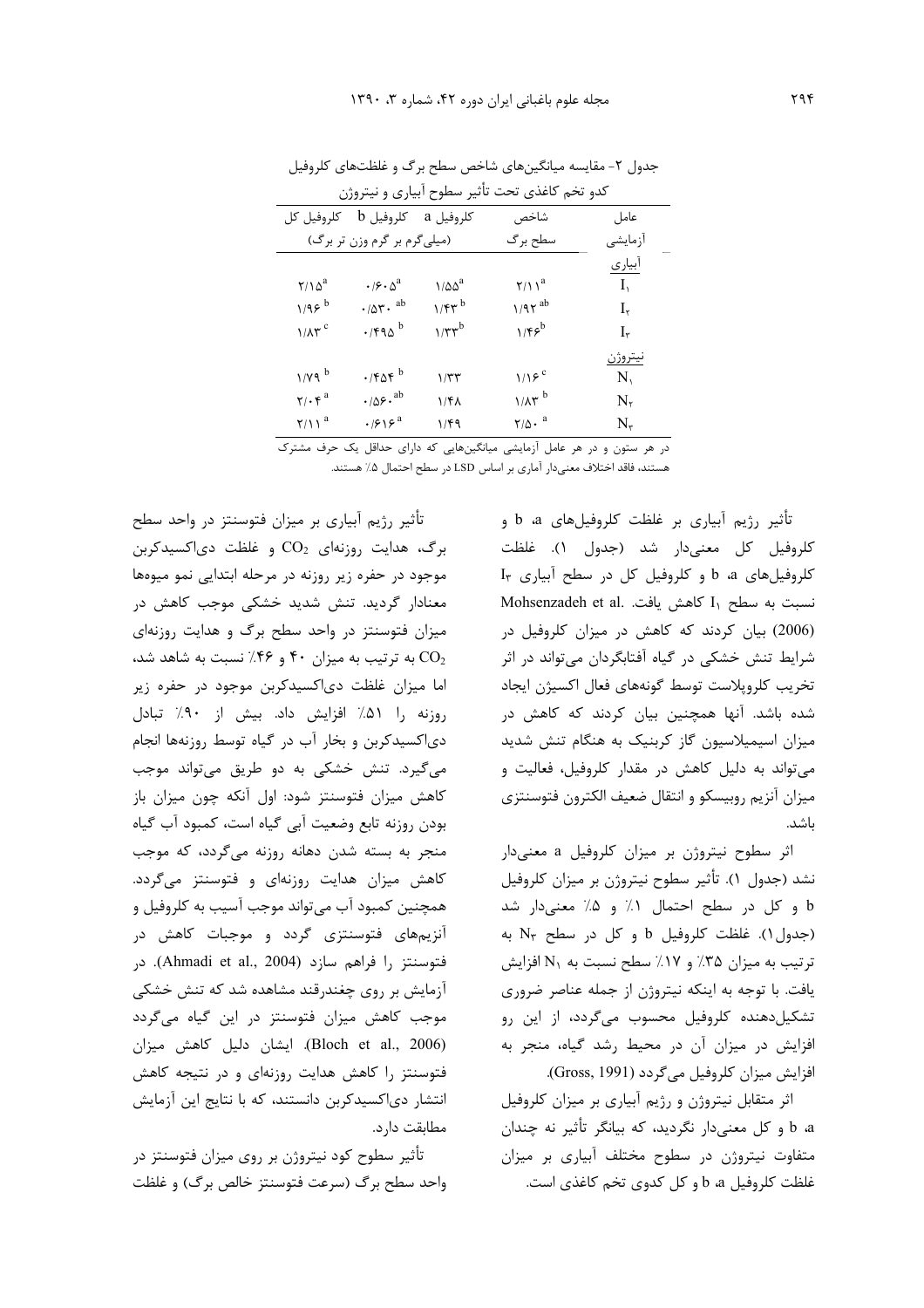| كدو تخم كاغذى تحت تأثير سطوح أبيارى و نيتروژن |                                                       |                       |                                                    |                   |  |  |
|-----------------------------------------------|-------------------------------------------------------|-----------------------|----------------------------------------------------|-------------------|--|--|
| كلروفيل كل                                    |                                                       | $b$ كلروفيل a كلروفيل | شاخص                                               | عامل              |  |  |
|                                               | (میلیگرم بر گرم وزن تر برگ)                           |                       | سطح برگ                                            | أزمايشي           |  |  |
|                                               |                                                       |                       |                                                    | أبياري            |  |  |
| $Y/\Omega^a$                                  | $\cdot$ / $\mathcal{S}$ $\cdot$ $\Delta$ <sup>a</sup> | $1/\Delta\Delta^a$    | $\gamma/\gamma^a$                                  | $I_{\mathcal{L}}$ |  |  |
| $1/95^{b}$                                    | $\cdot$ / $\Delta \mathbf{r}$ . ab                    | $1/fr^{b}$            | $1/97$ <sup>ab</sup>                               | $I_{\tau}$        |  |  |
| $1/\lambda \tau$ <sup>c</sup>                 | $\cdot$ /۴۹۵ <sup>b</sup>                             | $1/\tau\tau^b$        | $1/ff^b$                                           | I٣                |  |  |
|                                               |                                                       |                       |                                                    | نيتروژن           |  |  |
| $1/Y9$ <sup>b</sup>                           | $\cdot$ /۴۵۴ $^{\rm b}$                               | ۱/۳۳                  | $1/19^c$                                           | $N_{\rm t}$       |  |  |
| $\mathbf{Y}/\cdot\mathbf{y}^{\mathrm{a}}$     | $\cdot/\Delta \xi \cdot^{ab}$                         | ۱/۴۸                  | $1/\lambda r^b$                                    | $\rm N_{\rm r}$   |  |  |
| $\gamma/\gamma$ <sup>a</sup>                  | $\cdot$ /۶۱۶ <sup>a</sup>                             | ۱/۴۹                  | $\mathbf{Y}/\mathbf{\Delta} \cdot \mathbf{a}$<br>. | $N_{\tau}$        |  |  |

جدول ۲- مقایسه میانگینهای شاخص سطح برگ و غلظتهای کلروفیل

در هر ستون و در هر عامل آزمایشی میانگینهایی که دارای حداقل یک حرف مشترک هستند، فاقد اختلاف معنىدار آماري بر اساس LSD در سطح احتمال ۵٪ هستند.

> تأثير رژيم آبياري بر غلظت كلروفيلهاي a، b و كلروفيل كل معنىدار شد (جدول ١). غلظت  $I_{\tau}$  کلروفیلهای a b a و کلروفیل کل در سطح آبیاری Mohsenzadeh et al. المش يافت. Mohsenzadeh et al. (2006) بیان کردند که کاهش در میزان کلروفیل در شرایط تنش خشکی در گیاه آفتابگردان می تواند در اثر تخريب كلروپلاست توسط گونههاي فعال اكسيژن ايجاد شده باشد. آنها همچنین بیان کردند که کاهش در میزان اسیمیلاسیون گاز کربنیک به هنگام تنش شدید می تواند به دلیل کاهش در مقدار کلروفیل، فعالیت و ميزان آنزيم روبيسكو و انتقال ضعيف الكترون فتوسنتزى باشد.

> اثر سطوح نیتروژن بر میزان کلروفیل a معنیدار نشد (جدول ١). تأثير سطوح نيتروژن بر ميزان كلروفيل b و كل در سطح احتمال ١٪ و ۵٪ معنى دار شد (جدول ١). غلظت كلروفيل b و كل در سطح N<sub>٣</sub> به ترتیب به میزان ۳۵٪ و ۱۷٪ سطح نسبت به N۱ افزایش یافت. با توجه به اینکه نیتروژن از جمله عناصر ضروری تشکیل دهنده کلروفیل محسوب میگردد، از این رو افزایش در میزان آن در محیط رشد گیاه، منجر به افزايش ميزان كلروفيل مي گردد (Gross, 1991).

> اثر متقابل نیتروژن و رژیم آبیاری بر میزان کلروفیل a و کل معنیدار نگردید، که بیانگر تأثیر نه چندان a متفاوت نیتروژن در سطوح مختلف آبیاری بر میزان غلظت کلروفیل d a و کل کدوی تخم کاغذی است.

تأثیر رژیم آبیاری بر میزان فتوسنتز در واحد سطح برگ، هدایت روزنهای  $\text{CO}_2$  و غلظت دی اکسیدکربن موجود در حفره زیر روزنه در مرحله ابتدایی نمو میوهها معنادار گردید. تنش شدید خشکی موجب کاهش در میزان فتوسنتز در واحد سطح برگ و هدایت روزنهای به ترتیب به میزان ۴۰ و ۴۶٪ نسبت به شاهد شد، CO2 اما میزان غلظت دی اکسیدکربن موجود در حفره زیر روزنه را ۵۱٪ افزایش داد. بیش از ۹۰٪ تبادل دیاکسیدکربن و بخار آب در گیاه توسط روزنهها انجام میگیرد. تنش خشکی به دو طریق میتواند موجب كاهش ميزان فتوسنتز شود: اول آنكه چون ميزان باز بودن روزنه تابع وضعيت آبي گياه است، كمبود آب گياه منجر به بسته شدن دهانه روزنه میگردد، که موجب کاهش میزان هدایت روزنهای و فتوسنتز میگردد. همچنین کمبود آب میتواند موجب آسیب به کلروفیل و آنزیمهای فتوسنتزی گردد و موجبات کاهش در فتوسنتز ,ا فراهم سازد (Ahmadi et al., 2004). در آزمایش بر روی چغندرقند مشاهده شد که تنش خشکی موجب کاهش میزان فتوسنتز در این گیاه میگردد (Bloch et al., 2006). ایشان دلیل کاهش میزان فتوسنتز را کاهش هدایت روزنهای و در نتیجه کاهش انتشار دی|کسیدکربن دانستند، که با نتایج این آزمایش مطابقت دارد.

تأثیر سطوح کود نیتروژن بر روی میزان فتوسنتز در واحد سطح برگ (سرعت فتوسنتز خالص برگ) و غلظت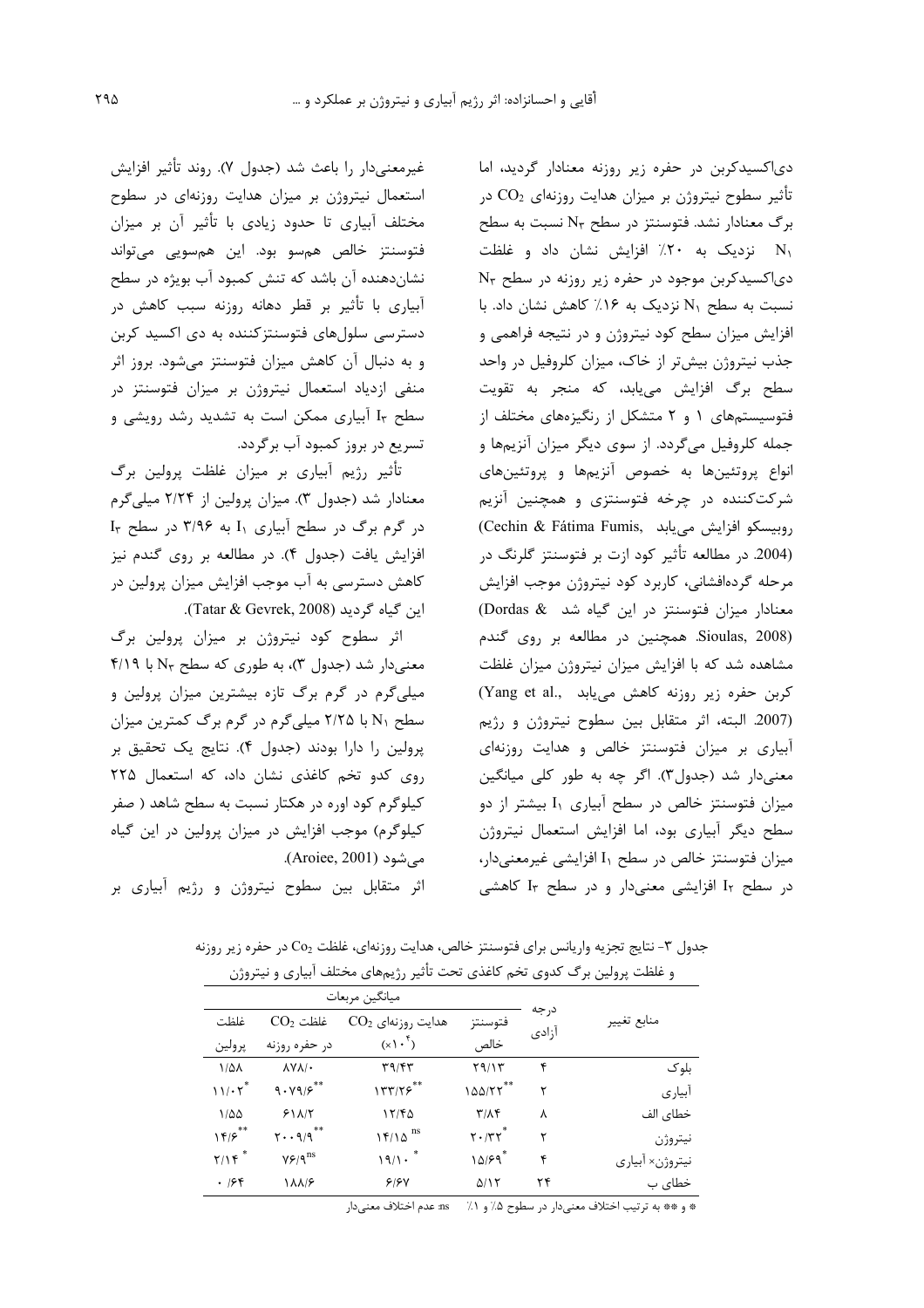دی|کسیدکربن در حفره زیر روزنه معنادار گردید، اما تأثیر سطوح نیتروژن بر میزان هدایت روزنهای  $\rm CO_{2}$  در برگ معنادار نشد. فتوسنتز در سطح N<sub>۳</sub> نسبت به سطح ا نزدیک به ۲۰٪ افزایش نشان داد و غلظت دی|کسیدکربن موجود در حفره زیر روزنه در سطح N۳ نسبت به سطح N1 نزدیک به ۱۶٪ کاهش نشان داد. با افزایش میزان سطح کود نیتروژن و در نتیجه فراهمی و جذب نیتروژن بیشتر از خاک، میزان کلروفیل در واحد سطح برگ افزایش مییابد، که منجر به تقویت فتوسیستمهای ۱ و ۲ متشکل از رنگیزههای مختلف از جمله کلروفیل میگردد. از سوی دیگر میزان آنزیمها و انواع پروتئینها به خصوص آنزیمها و پروتئینهای شرکتکننده در چرخه فتوسنتزی و همچنین آنزیم (Cechin & Fátima Fumis, روبيسكو افزايش مى يابد (2004. در مطالعه تأثیر کود ازت بر فتوسنتز گلرنگ در مرحله گردهافشانی، کاربرد کود نیتروژن موجب افزایش معنادار میزان فتوسنتز در این گیاه شد Dordas & Sioulas, 2008). همچنین در مطالعه بر روی گندم مشاهده شد که با افزایش میزان نیتروژن میزان غلظت كربن حفره زير روزنه كاهش مى يابد .(Yang et al (2007. البته، اثر متقابل بين سطوح نيتروژن و رژيم آبیاری بر میزان فتوسنتز خالص و هدایت روزنهای معنیدار شد (جدول٣). اگر چه به طور کلی میانگین میزان فتوسنتز خالص در سطح آبیاری I<sub>۱</sub> بیشتر از دو سطح دیگر آبیاری بود، اما افزایش استعمال نیتروژن میزان فتوسنتز خالص در سطح I<sub>۱</sub> افزایشی غیرمعنی دار، در سطح I<sub>۲</sub> افزایشی معنیدار و در سطح I<sub>۲</sub> کاهشی

غيرمعنيدار ,ا باعث شد (جدول ٧). ,وند تأثير افزايش استعمال نیتروژن بر میزان هدایت روزنهای در سطوح مختلف آبیاری تا حدود زیادی با تأثیر آن بر میزان فتوسنتز خالص همسو بود. این همسویی میتواند نشاندهنده آن باشد که تنش کمبود آب بویژه در سطح آبیاری با تأثیر بر قطر دهانه روزنه سبب کاهش در دسترسی سلولهای فتوسنتزکننده به دی اکسید کربن و به دنبال آن کاهش میزان فتوسنتز میشود. بروز اثر منفی ازدیاد استعمال نیتروژن بر میزان فتوسنتز در سطح Ir آبیاری ممکن است به تشدید رشد رویشی و تسریع در بروز کمبود آب برگردد.

تأثیر رژیم آبیاری بر میزان غلظت پرولین برگ معنادار شد (جدول ٣). میزان پرولین از ٢/٢۴ میلیگرم  $I_{\tau}$  در گرم برگ در سطح آبیاری  $I_{\gamma}$  به ۳/۹۶ در سطح افزایش یافت (جدول ۴). در مطالعه بر روی گندم نیز کاهش دسترسی به آب موجب افزایش میزان پرولین در ابن گیاه گردید (Tatar & Gevrek, 2008).

اثر سطوح کود نیتروژن بر میزان پرولین برگ معنی دار شد (جدول ۳)، به طوری که سطح N<sub>۳</sub> با ۴/۱۹ میلیگرم در گرم برگ تازه بیشترین میزان پرولین و سطح N1 با ۲/۲۵ میلیگرم در گرم برگ کمترین میزان پرولین را دارا بودند (جدول ۴). نتایج یک تحقیق بر روی کدو تخم کاغذی نشان داد، که استعمال ٢٢۵ کیلوگرم کود اوره در هکتار نسبت به سطح شاهد ( صفر کیلوگرم) موجب افزایش در میزان پرولین در این گیاه مے شود (Aroiee, 2001).

اثر متقابل بین سطوح نیتروژن و رژیم آبیاری بر

جدول ۳- نتایج تجزیه واریانس برای فتوسنتز خالص، هدایت روزنهای، غلظت Co2 در حفره زیر روزنه و غلظت پرولین برگ کدوی تخم کاغذی تحت تأثیر رژیمهای مختلف آبیاری و نیتروژن

|                    | ميانگين مربعات          |                        |                         |                |                 |
|--------------------|-------------------------|------------------------|-------------------------|----------------|-----------------|
| $CO2$ غلظت<br>غلظت |                         | $CO2$ هدایت روزنهای    | فتوسنتز                 | د, جه<br>آزادى | منابع تغيير     |
| پرولين             | در حفره روزنه           | $(x \wedge^{\dagger})$ | خالص                    |                |                 |
| $1/\Delta\lambda$  | $\Lambda V \Lambda / 1$ | T9/FT                  | 59/15                   | ۴              | بلو ک           |
| $11/\cdot 7^*$     | 9.197                   | 157775                 | $100/77$ **             | ۲              | آبیار ی         |
| $1/\Delta\Delta$   | 511/7                   | 17/FQ                  | $\mathbf{r}/\mathbf{r}$ | λ              | خطای الف        |
| 155                | $Y \cdot \cdot 9/9$ **  | $15/10$ <sup>ns</sup>  | $Y \cdot /TY^*$         | ۲              | نيتروژن         |
| $Y/Y^*$            | $Y$ ۶/۹ $^{\rm ns}$     | 19/1.                  | 10/59                   | ۴              | نيتروژن× آبياري |
| .799               | <b><i>AAIS</i></b>      | 918V                   | $\Delta/\Gamma$         | ۲۴             | خطای ب          |

\* و \*\* به ترتيب اختلاف معنىدار در سطوح ۵٪ و ۱٪ ms. عدم اختلاف معنىدار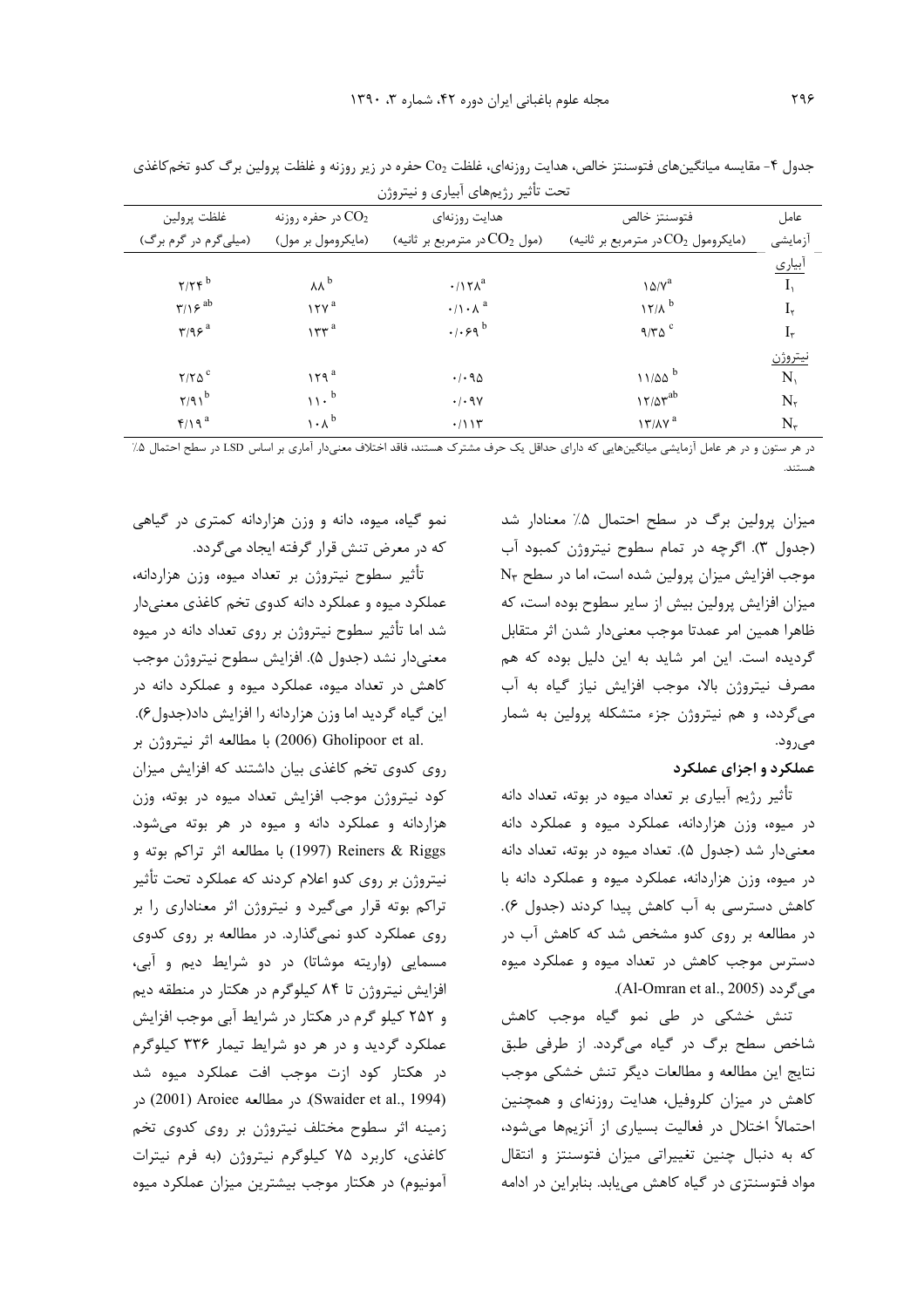| تحت تاثیر رژیمهای ابیاری و نیتروژن  |                               |                                        |                                            |                  |  |  |  |
|-------------------------------------|-------------------------------|----------------------------------------|--------------------------------------------|------------------|--|--|--|
| غلظت پرولين                         | در حفره روزنه $\mathrm{CO}_2$ | هدايت روزنهاى                          | فتوسنتز خالص                               | عامل             |  |  |  |
| (میلیگرم در گرم برگ)                | (مايكرومول بر مول)            | (مول $\rm CO_{2}$ در مترمربع بر ثانيه) | (مایکرومول $\rm CO_2$ در مترمربع بر ثانیه) | أزمايشي          |  |  |  |
|                                     |                               |                                        |                                            | آبيا <u>ري</u>   |  |  |  |
| $Y/Y$ ۴ $b$                         | $\lambda\lambda^b$            | $\cdot$ /17 $\Lambda$ <sup>a</sup>     | $\lambda \Delta/V^a$                       | I <sub>1</sub>   |  |  |  |
| $\mathbf{r}/\mathbf{v}^{\text{ab}}$ | 17Y <sup>a</sup>              | $\cdot/\left(\cdot\right)^{a}$         | $17/A$ <sup>b</sup>                        | $I_{\mathsf{y}}$ |  |  |  |
| $\tau$ /98 <sup>a</sup>             | $157^a$                       | $.1.59^{b}$                            | $9/T\Delta$                                | $I_{\tau}$       |  |  |  |
|                                     |                               |                                        |                                            | <u>نيتروژن</u>   |  |  |  |
| $Y/Y\Delta^c$                       | 179 <sup>a</sup>              | .4.90                                  | $11/20^b$                                  | $N_{1}$          |  |  |  |
| $Y/91^b$                            | $11 \cdot b$                  | $\cdot$ / $\cdot$ 9 $\vee$             | $17/\Delta \tau^{ab}$                      | $N_{\mathsf{r}}$ |  |  |  |
| $f/\sqrt{a}$                        | $\cdot \wedge^b$              | .7115                                  | $17/\lambda Y^a$                           | $N_{\tau}$       |  |  |  |

جدول ۴- مقایسه میانگینهای فتوسنتز خالص، هدایت روزنهای، غلظت Co2 حفره در زیر روزنه و غلظت پرولین برگ کدو تخمکاغذی

در هر ستون و در هر عامل آزمایشی میانگینهایی که دارای حداقل یک حرف مشترک هستند، فاقد اختلاف معنیدار آماری بر اساس LSD در سطح احتمال ۵٪

میزان پرولین برگ در سطح احتمال ۵٪ معنادار شد (جدول ۳). اگرچه در تمام سطوح نیتروژن کمبود آب موجب افزایش میزان پرولین شده است، اما در سطح N<sub>۳</sub> میزان افزایش پرولین بیش از سایر سطوح بوده است، که ظاهرا همين امر عمدتا موجب معنىدار شدن اثر متقابل گردیده است. این امر شاید به این دلیل بوده که هم مصرف نیتروژن بالا، موجب افزایش نیاز گیاه به آب میگردد، و هم نیتروژن جزء متشکله پرولین به شمار مے رود.

#### عملكرد و اجزاي عملكرد

تأثیر رژیم آبیاری بر تعداد میوه در بوته، تعداد دانه در میوه، وزن هزاردانه، عملکرد میوه و عملکرد دانه معنیدار شد (جدول ۵). تعداد میوه در بوته، تعداد دانه در میوه، وزن هزاردانه، عملکرد میوه و عملکرد دانه با کاهش دسترسی به آب کاهش پیدا کردند (جدول ۶). در مطالعه بر روی کدو مشخص شد که کاهش آب در دسترس موجب کاهش در تعداد میوه و عملکرد میوه .(Al-Omran et al., 2005).

تنش خشکی در طی نمو گیاه موجب کاهش شاخص سطح برگ در گیاه میگردد. از طرفی طبق نتايج اين مطالعه و مطالعات ديگر تنش خشكى موجب کاهش در میزان کلروفیل، هدایت روزنهای و همچنین احتمالاً اختلال در فعالیت بسیاری از آنزیمها میشود، که به دنبال چنین تغییراتی میزان فتوسنتز و انتقال مواد فتوسنتزی در گیاه کاهش می یابد. بنابراین در ادامه

نمو گیاه، میوه، دانه و وزن هزاردانه کمتری در گیاهی كه در معرض تنش قرار گرفته ايجاد مي گردد.

تأثير سطوح نيتروژن بر تعداد ميوه، وزن هزاردانه، عملکرد میوه و عملکرد دانه کدوی تخم کاغذی معنیدار شد اما تأثیر سطوح نیتروژن بر روی تعداد دانه در میوه معنىدار نشد (جدول ۵). افزايش سطوح نيتروژن موجب کاهش در تعداد میوه، عملکرد میوه و عملکرد دانه در این گیاه گردید اما وزن هزاردانه را افزایش داد(جدول۶). .2006) Gholipoor et al) با مطالعه اثر نيتروژن بر

روی کدوی تخم کاغذی بیان داشتند که افزایش میزان کود نیتروژن موجب افزایش تعداد میوه در بوته، وزن هزاردانه و عملکرد دانه و میوه در هر بوته می شود. Reiners & Riggs (1997) با مطالعه اثر تراكم بوته و نیتروژن بر روی کدو اعلام کردند که عملکرد تحت تأثیر تراکم بوته قرار میگیرد و نیتروژن اثر معناداری را بر روی عملکرد کدو نمیگذارد. در مطالعه بر روی کدوی مسمایی (واریته موشاتا) در دو شرایط دیم و آبی، افزایش نیتروژن تا ۸۴ کیلوگرم در هکتار در منطقه دیم و ۲۵۲ کیلو گرم در هکتار در شرایط آبی موجب افزایش عملکرد گردید و در هر دو شرایط تیمار ۳۳۶ کیلوگرم در هکتار کود ازت موجب افت عملکرد میوه شد در Swaider et al., 1994). در مطالعه 2001) Aroiee در زمینه اثر سطوح مختلف نیتروژن بر روی کدوی تخم کاغذی، کاربرد ۷۵ کیلوگرم نیتروژن (به فرم نیترات آمونیوم) در هکتار موجب بیشترین میزان عملکرد میوه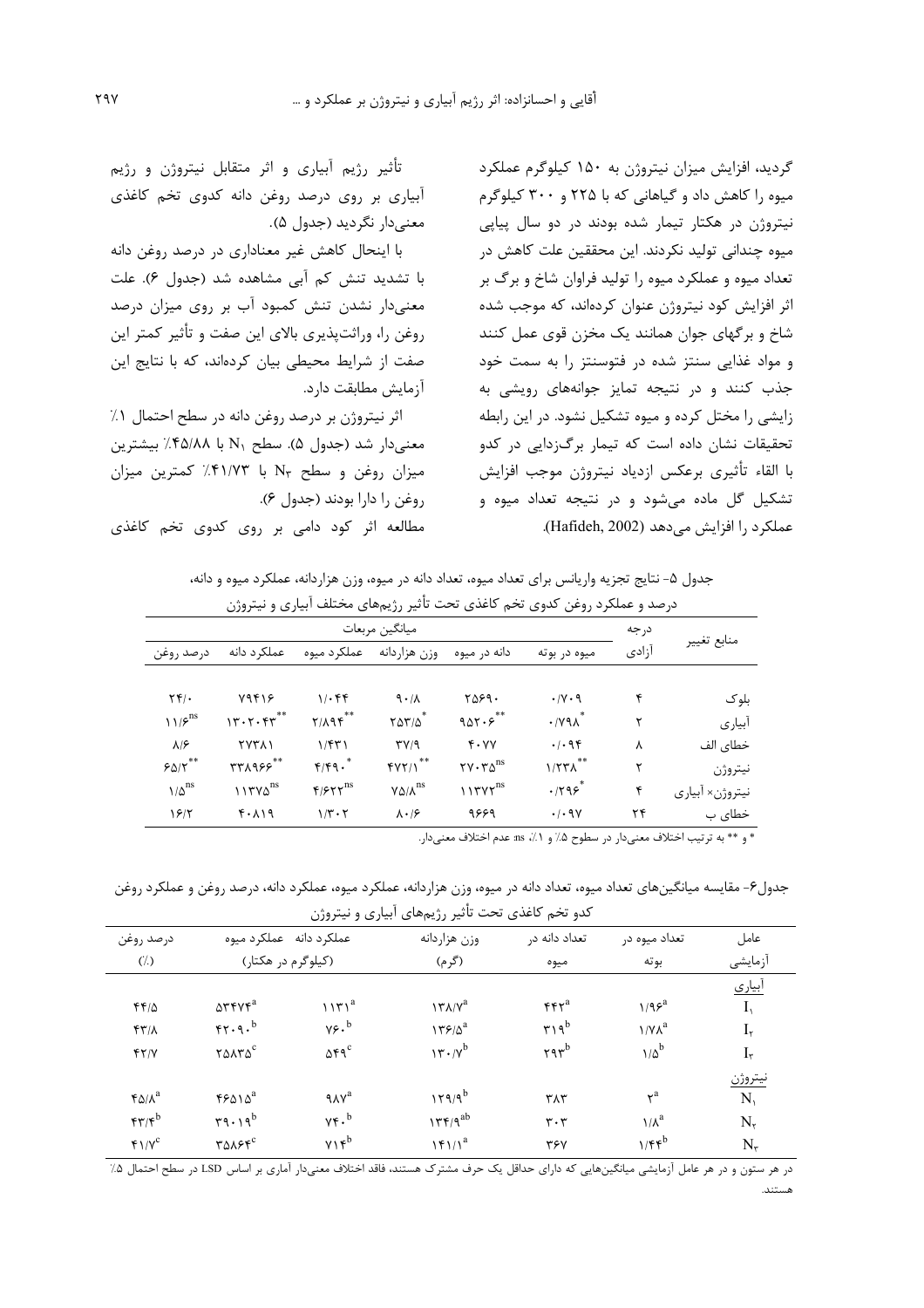گردید، افزایش میزان نیتروژن به ۱۵۰ کیلوگرم عملکرد میوه را کاهش داد و گیاهانی که با ۲۲۵ و ۳۰۰ کیلوگرم نیتروژن در هکتار تیمار شده بودند در دو سال پیاپی میوہ چندانی تولید نکردند. این محققین علت کاهش در تعداد میوه و عملکرد میوه را تولید فراوان شاخ و برگ بر اثر افزایش کود نیتروژن عنوان کردهاند، که موجب شده شاخ و بر گهای جوان همانند یک مخزن قوی عمل کنند و مواد غذایی سنتز شده در فتوسنتز را به سمت خود جذب کنند و در نتیجه تمایز جوانههای رویشی به زایشی را مختل کرده و میوه تشکیل نشود. در این رابطه تحقیقات نشان داده است که تیمار برگزدایی در کدو با القاء تأثيرى برعكس ازدياد نيتروژن موجب افزايش تشکیل گل ماده میشود و در نتیجه تعداد میوه و عملكرد ,ا افزايش مى دهد (Hafideh, 2002).

تأثیر رژیم آبیاری و اثر متقابل نیتروژن و رژیم آبیاری بر روی درصد روغن دانه کدوی تخم کاغذی معنىدار نگرديد (جدول ۵).

با اینحال کاهش غیر معناداری در درصد روغن دانه با تشدید تنش کم آبی مشاهده شد (جدول ۶). علت معنیدار نشدن تنش کمبود آب بر روی میزان درصد روغن را، وراثت پذیری بالای این صفت و تأثیر کمتر این صفت از شرایط محیطی بیان کردهاند، که با نتایج این آزمایش مطابقت دارد.

اثر نیتروژن بر درصد روغن دانه در سطح احتمال ۱٪ معنیدار شد (جدول ۵). سطح N<sub>۱</sub> با ۴۵/۸۸٪ بیشترین میزان روغن و سطح N<sub>۳</sub> با ۴۱/۷۳٪ کمترین میزان روغن را دارا بودند (جدول ۶).

مطالعه اثر کود دامی بر روی کدوی تخم کاغذی

جدول ۵- نتایج تجزیه واریانس برای تعداد میوه، تعداد دانه در میوه، وزن هزاردانه، عملکرد میوه و دانه،

| ميانگين مربعات                                                     |                   |                               |                            |                                                              |                                  |       |                 |
|--------------------------------------------------------------------|-------------------|-------------------------------|----------------------------|--------------------------------------------------------------|----------------------------------|-------|-----------------|
| درصد روغن                                                          | عملکر د دانه      | عملكرد ميوه                   | وزن هزاردانه               | دانه در میوه                                                 | ميوه در بوته                     | آزادى | منابع تغيير     |
| $\Upsilon \Upsilon / \cdot$                                        | 79418             | 1.68                          | 9.1                        | ٢۵۶۹.                                                        | $\cdot$ /Y $\cdot$ 9             | ۴     | بلوک            |
| $\left.\right\}$ $\left.\right\}$ <sup>ns</sup>                    | 17.7.57           | $Y/\lambda$ 9 $F***$          | $Y\Delta Y/\Delta^*$       | 901.5                                                        | $\cdot$ / $\gamma$ 9 $\Lambda^*$ | ٢     | آبياري          |
| $\lambda$ /۶                                                       | <b>TYTAI</b>      | 1/FT1                         | $\Gamma V$                 | $Y \cdot YY$                                                 | .1.98                            | λ     | خطاي الف        |
| $\mathop{\varphi}\nolimits_{\Delta/\mathop{\nabla}\nolimits}^{**}$ | $rrA955$ **       | $f/fq.^*$                     | fYY/1                      | $\mathbf{y} \cdot \mathbf{y} \cdot \mathbf{y}$ <sup>ns</sup> | $1/57\lambda$                    | ٢     | نيتروژن         |
| $1/\Delta$ <sup>ns</sup>                                           | $117Y\Delta^{ns}$ | $F/FY^{ns}$                   | $Y\Delta/\Lambda^{\rm NS}$ | $\binom{1}{1}$                                               | .795                             | ۴     | نيتروژن× أبياري |
| 18/7                                                               | $f \cdot \lambda$ | $1/\mathbf{r}\cdot\mathbf{r}$ | $\lambda \cdot 19$         | 9889                                                         | .49                              | ۲۴    | خطای ب          |

\* و \*\* به ترتيب اختلاف معنىدار در سطوح ۵٪ و ۱٪، ns عدم اختلاف معنىدار.

جدول۶- مقايسه ميانگينهاي تعداد ميوه، تعداد دانه در ميوه، وزن هزاردانه، عملكرد ميوه، عملكرد دانه، درصد روغن و عملكرد روغن

|                           |                                           |                                  | کدو تخم کاغذی تحت تاثیر رژیمهای ابیاری و نیتروژن |                                                 |                           |                  |
|---------------------------|-------------------------------------------|----------------------------------|--------------------------------------------------|-------------------------------------------------|---------------------------|------------------|
| درصد روغن                 | عملكرد دانه عملكرد ميوه                   |                                  | وزن هزاردانه                                     | تعداد دانه در                                   | تعداد ميوه در             | عامل             |
| $(\lambda)$               | (کیلوگرم در هکتار)                        |                                  | (گرم)                                            | ميوه                                            | بوته                      | أزمايشى          |
|                           |                                           |                                  |                                                  |                                                 |                           | <u>آبیاری</u>    |
| $FF/\Delta$               | $\Delta$ ۳۴۷۴ <sup>a</sup>                | $1171^a$                         | $\gamma \gamma \lambda / \gamma^a$               | $rr^a$                                          | $1/95^a$                  | $I_{\lambda}$    |
| $f\uparrow\gamma/\lambda$ | $rr.9.$ <sup>b</sup>                      | $v_{\mathcal{F}}.^b$             | $179/0^a$                                        | $ry_0^b$                                        | $1/N\lambda^a$            | $I_{\mathsf{y}}$ |
| YY/Y                      | $\gamma$ $\Delta \lambda \gamma \Delta^c$ | $\Delta \mathbf{f} \mathbf{q}^c$ | $1r \cdot y^b$                                   | $\mathbf{r} \mathbf{a} \mathbf{r}^{\mathrm{b}}$ | $1/a^b$                   | $I_{\tau}$       |
|                           |                                           |                                  |                                                  |                                                 |                           | <u>نيتروژن</u>   |
| $f \Delta / \lambda^a$    | $45010^a$                                 | $9\lambda V^a$                   | $179/9^b$                                        | $T\Lambda T$                                    | $\mathsf{r}^{\mathrm{a}}$ | N,               |
| $FT/F^b$                  | $\mathbf{r}_1 \cdot \mathbf{q}_b$         | $Yf \cdot b$                     | ۱۳۴/۹ $^{ab}$                                    | $\mathbf{r} \cdot \mathbf{r}$                   | $1/\lambda^a$             | $N_{\tau}$       |
| $f/\gamma^c$              | <b>TALSE</b> C                            | $YY^b$                           | $\left \frac{f}{f}\right /\right ^{a}$           | <b>٣۶٧</b>                                      | $1/ff^b$                  | $N_{\mathsf{r}}$ |

در هر ستون و در هر عامل آزمایشی میانگینهایی که دارای حداقل یک حرف مشترک هستند، فاقد اختلاف معنیدار آماری بر اساس LSD در سطح احتمال ۵٪  $1.17...8$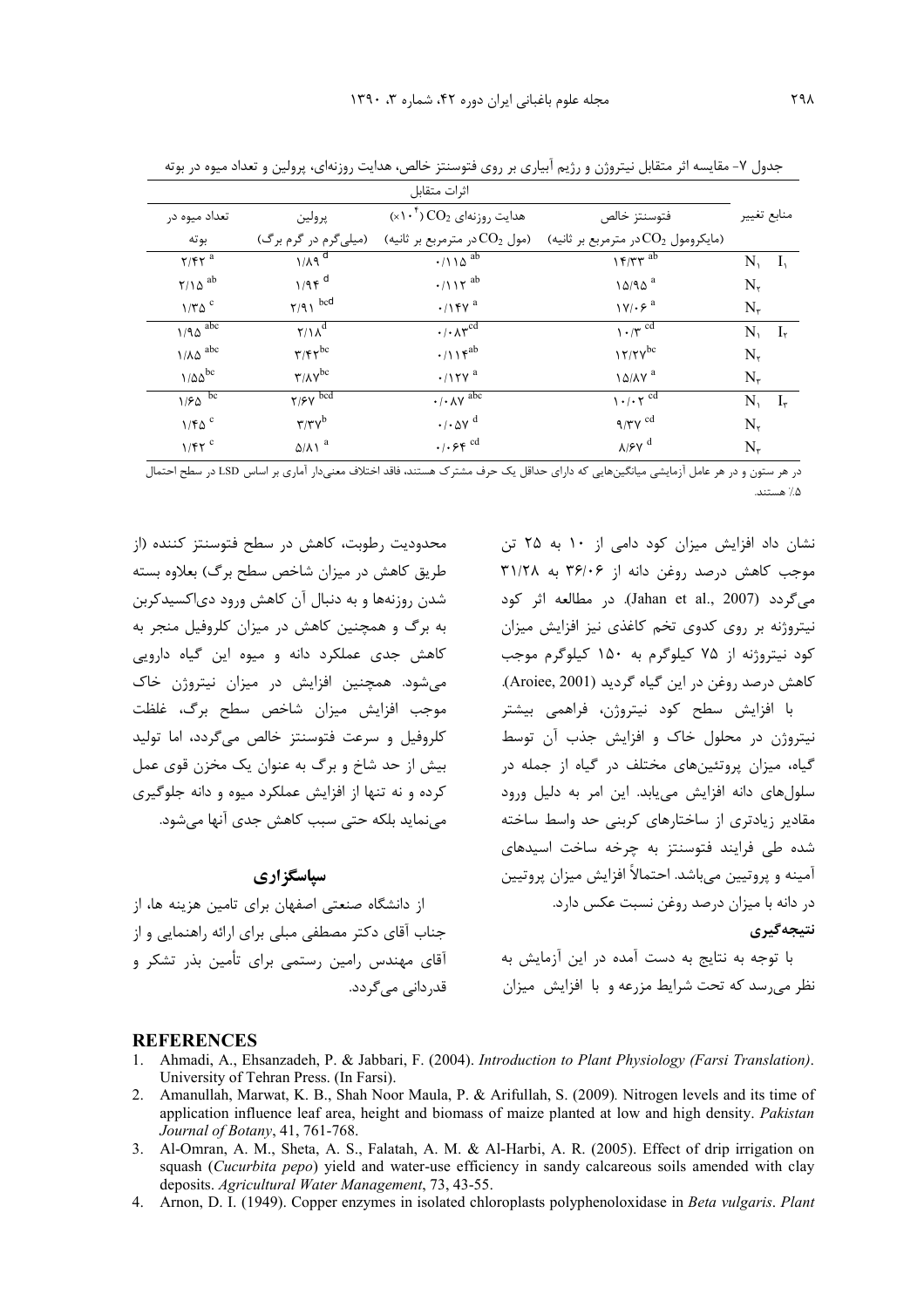| اثرات متقابل                   |                                                 |                                                                    |                                            |               |                           |  |
|--------------------------------|-------------------------------------------------|--------------------------------------------------------------------|--------------------------------------------|---------------|---------------------------|--|
| تعداد میوه در                  | پرولين                                          | $(\times \wedge^{\mathsf{t}})$ هدايت روزنهاي $\operatorname{CO}_2$ | فتوسنتز خالص                               | منابع تغيير   |                           |  |
| بوته                           | (میلیگرم در گرم برگ)                            | (مول $\rm CO_{2}$ در مترمربع بر ثانيه)                             | (مایکرومول $\rm CO_2$ در مترمربع بر ثانیه) |               |                           |  |
| $Y/FY$ <sup>a</sup>            | $1/Aq^d$                                        | $\cdot$ /110 <sup>ab</sup>                                         | 15/TT                                      | $N_1$ $I_1$   |                           |  |
| $\gamma/\lambda$ <sup>ab</sup> | $1/9f$ <sup>d</sup>                             | $\cdot$ /117 <sup>ab</sup>                                         | $10/90$ <sup>a</sup>                       | $N_{\tau}$    |                           |  |
| $1/T\Delta$ <sup>c</sup>       | $\gamma$ /9 \ bcd                               | $\cdot$ /14 $v^a$                                                  | $\gamma \gamma \cdot \xi^a$                | $N_{\tau}$    |                           |  |
| $1/90$ $\overline{abc}$        | $Y/\sqrt{d}$                                    | $\cdot/\cdot \wedge \tau^{c\overline{d}}$                          | $\gamma \cdot \pi^{cd}$                    | N,            | $\mathbf{I}_{\mathbf{r}}$ |  |
| $1/\lambda \Delta$ abc         | $\mathbf{r}/\mathbf{r}\mathbf{r}^{\mathrm{bc}}$ | $\cdot/\right)$ \r <sup>ab</sup>                                   | $17/7V^{bc}$                               | $N_{\tau}$    |                           |  |
| $1/\Delta\Delta^{\rm bc}$      | $\tau/\lambda\rm{V}^{bc}$                       | $\cdot$ /17 $\gamma$ <sup>a</sup>                                  | $\lambda \Delta/\lambda \gamma^a$          | $N_{\tau}$    |                           |  |
| 1/80                           | $\gamma$ / $\epsilon \sqrt{\text{bcd}}$         | $\cdot$ / $\cdot$ $\wedge$ $\vee$ $\overline{abc}$                 | $1 \cdot / \cdot \gamma^{cd}$              | $N, I_{\tau}$ |                           |  |
| $1/FQ^c$                       | $\mathbf{r}/\mathbf{r}\mathbf{v}^{\mathrm{b}}$  | $\cdot$ / $\cdot$ $\Delta$ Y $^d$                                  | $9/\gamma \gamma$ <sup>cd</sup>            | $N_{\tau}$    |                           |  |
| $1/FY$ <sup>c</sup>            | $\Delta/\lambda$ \ $^a$                         | $\cdot$ / $\cdot$ $\varphi$ $\in$ $^{\rm cd}$                      | $\lambda$ /۶ $\gamma$ <sup>d</sup>         | $N_{\tau}$    |                           |  |

جدول ۷- مقایسه اثر متقابل نیتروژن و رژیم آبیاری بر روی فتوسنتز خالص، هدایت روزنهای، پرولین و تعداد میوه در بوته

در هر ستون و در هر عامل آزمایشی میانگینهایی که دارای حداقل یک حرف مشترک هستند، فاقد اختلاف معنیدار آماری بر اساس LSD در سطح احتمال  $3:3...870$ 

محدودیت رطوبت، کاهش در سطح فتوسنتز کننده (از طریق کاهش در میزان شاخص سطح برگ) بعلاوه بسته شدن روزنهها و به دنبال آن کاهش ورود دیاکسیدکربن به برگ و همچنین کاهش در میزان کلروفیل منجر به کاهش جدی عملکرد دانه و میوه این گیاه دارویی میشود. همچنین افزایش در میزان نیتروژن خاک موجب افزایش میزان شاخص سطح برگ، غلظت كلروفيل و سرعت فتوسنتز خالص مي گردد، اما توليد بيش از حد شاخ و برگ به عنوان يک مخزن قوي عمل کرده و نه تنها از افزایش عملکرد میوه و دانه جلوگیری مے نماید بلکه حتی سبب کاهش جدی آنها می شود.

#### سیاسگزاری

از دانشگاه صنعتی اصفهان برای تامین هزینه ها، از جناب آقای دکتر مصطفی مبلی برای ارائه راهنمایی و از آقای مهندس رامین رستمی برای تأمین بذر تشکر و قدردانی میگردد.

نشان داد افزایش میزان کود دامی از ۱۰ به ۲۵ تن موجب كاهش درصد روغن دانه از ۳۶/۰۶ به ۳۱/۲۸ میگردد (Jahan et al., 2007). در مطالعه اثر کود نیتروژنه بر روی کدوی تخم کاغذی نیز افزایش میزان کود نیتروژنه از ۷۵ کیلوگرم به ۱۵۰ کیلوگرم موجب كاهش درصد روغن در اين گياه گرديد (Aroiee, 2001). با افزایش سطح کود نیتروژن، فراهمی بیشتر

نيتروژن در محلول خاک و افزايش جذب آن توسط گیاه، میزان پروتئینهای مختلف در گیاه از جمله در سلولهای دانه افزایش می،پابد. این امر به دلیل ورود مقادیر زیادتری از ساختارهای کربنی حد واسط ساخته شده طی فرایند فتوسنتز به چرخه ساخت اسیدهای آمینه و پروتیین مے باشد. احتمالاً افزایش میزان پروتیین در دانه با میزان درصد روغن نسبت عکس دارد. نتىجەگىرى

با توجه به نتایج به دست آمده در این آزمایش به نظر میرسد که تحت شرایط مزرعه و با افزایش میزان

#### **REFERENCES**

- 1. Ahmadi, A., Ehsanzadeh, P. & Jabbari, F. (2004). Introduction to Plant Physiology (Farsi Translation). University of Tehran Press. (In Farsi).
- 2. Amanullah, Marwat, K. B., Shah Noor Maula, P. & Arifullah, S. (2009). Nitrogen levels and its time of application influence leaf area, height and biomass of maize planted at low and high density. Pakistan Journal of Botany, 41, 761-768.
- 3. Al-Omran, A. M., Sheta, A. S., Falatah, A. M. & Al-Harbi, A. R. (2005). Effect of drip irrigation on squash (Cucurbita pepo) yield and water-use efficiency in sandy calcareous soils amended with clay deposits. Agricultural Water Management, 73, 43-55.
- 4. Arnon, D. I. (1949). Copper enzymes in isolated chloroplasts polyphenoloxidase in *Beta vulgaris. Plant*